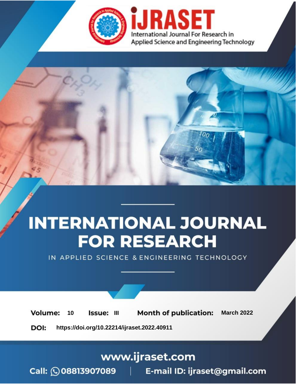

# **INTERNATIONAL JOURNAL FOR RESEARCH**

IN APPLIED SCIENCE & ENGINEERING TECHNOLOGY

**Month of publication: Volume:** 10 **Issue: III March 2022** DOI: https://doi.org/10.22214/ijraset.2022.40911

www.ijraset.com

Call: 008813907089 | E-mail ID: ijraset@gmail.com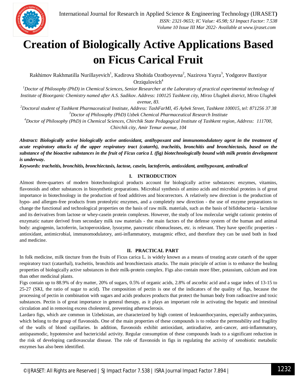

### **Creation of Biologically Active Applications Based on Ficus Carical Fruit**

Rakhimov Rakhmatilla Nurillayevich<sup>1</sup>, Kadirova Shohida Ozotboyevna<sup>2</sup>, Nazirova Yayra<sup>3</sup>, Yodgorov Baxtiyor Orziqulovich $4$ 

<sup>1</sup>Doctor of Philosophy (PhD) in Chemical Sciences, Senior Researcher at the Laboratory of practical experimental technology of *Institute of Bioorganic Chemistry named after A.S. Sadikov. Address: 100125 Tashkent city, Mirzo Ulugbek district, Mirzo Ulugbek avenue, 83.*

*<sup>2</sup>Doctoral student of Tashkent Pharmaceutical Institute, Address: TashFarMI, 45 Aybek Street, Tashkent 100015, tel: 871256 37 38 <sup>3</sup>Doctor of Philosophy (PhD) Uzbek Chemical Pharmaceutical Research Institute*

*<sup>4</sup>Doctor of Philosophy (PhD) in Chemical Sciences, Chirchik State Pedagogical Institute of Tashkent region, Address: 111700, Chirchik city, Amir Temur avenue, 104*

*Abstract: Biologically active biologically active antioxidant, antihypoxant and immunomodulatory agent in the treatment of acute respiratory attacks of the upper respiratory tract (catarrh), tracheitis, bronchitis and bronchiectasis, based on the substance of the bioactive substances in the fruit of Ficus carica L (fig) biotechnologically bound with milk protein development is underway.*

*Keywords: tracheitis, bronchitis, bronchiectasis, lactose, casein, lactoferrin, antioxidant, antihypoxant, antiradical*

#### **I. INTRODUCTION**

Almost three-quarters of modern biotechnological products account for biologically active substances: enzymes, vitamins, flavonoids and other substances in biosynthetic preparations. Microbial synthesis of amino acids and microbial proteins is of great importance in biotechnology in the production of food additives and biocorrectors. A relatively new direction is the production of hypo- and allergen-free products from proteolytic enzymes, and a completely new direction - the use of enzyme preparations to change the functional and technological properties on the basis of raw milk. materials, such as the basis of bifidobacteria - lactulose and its derivatives from lactose or whey-casein protein complexes. However, the study of low molecular weight cationic proteins of enzymatic nature derived from secondary milk raw materials - the main factors of the defense system of the human and animal body: angiogenin, lactoferrin, lactoperoxidase, lysozyme, pancreatic ribonucleases, etc. is relevant. They have specific properties antioxidant, antimicrobial, immunomodulatory, anti-inflammatory, mutagenic effect, and therefore they can be used both in food and medicine.

#### **II. PRACTICAL PART**

In folk medicine, milk tincture from the fruits of Ficus carica L. is widely known as a means of treating acute catarrh of the upper respiratory tract (catarrhal), tracheitis, bronchitis and bronchiectasis attacks. The main principle of action is to enhance the healing properties of biologically active substances in their milk-protein complex. Figs also contain more fiber, potassium, calcium and iron than other medicinal plants.

Figs contain up to 88.9% of dry matter, 20% of sugars, 0.5% of organic acids, 2.8% of ascorbic acid and a sugar index of 13-15 to 25-27 (SKI, the ratio of sugar to acid). The composition of pectin is one of the indicators of the quality of figs, because the processing of pectin in combination with sugars and acids produces products that protect the human body from radioactive and toxic substances. Pectin is of great importance in general therapy, as it plays an important role in activating the hepatic and intestinal circulation and in removing excess cholesterol, preventing atherosclerosis.

Lardaro figs, which are common in Uzbekistan, are characterized by high content of leukoanthocyanins, especially anthocyanins, which belong to the group of flavonoids. One of the main properties of these compounds is to reduce the permeability and fragility of the walls of blood capillaries. In addition, flavonoids exhibit antioxidant, antiradiative, anti-cancer, anti-inflammatory, antispasmodic, hypotensive and bactericidal activity. Regular consumption of these compounds leads to a significant reduction in the risk of developing cardiovascular disease. The role of flavonoids in figs in regulating the activity of xenobiotic metabolic enzymes has also been identified.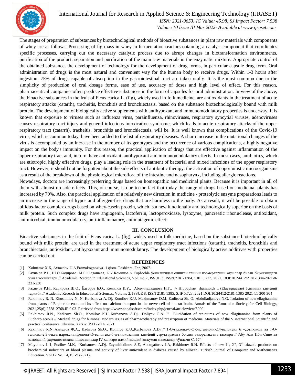

#### International Journal for Research in Applied Science & Engineering Technology (IJRASET**)**

 *ISSN: 2321-9653; IC Value: 45.98; SJ Impact Factor: 7.538 Volume 10 Issue III Mar 2022- Available at www.ijraset.com*

The stages of preparation of substances by biotechnological methods of bioactive substances in plant raw materials with components of whey are as follows: Processing of fig mass in whey in fermentation-reactors-obtaining a catalyst component that coordinates specific processes, carrying out the necessary catalytic process due to abrupt changes in biotransformation environments, purification of the product, separation and purification of the main raw materials in the enzymatic mixture. Appropriate control of the obtained substance, the development of technology for the development of drug forms, in particular capsule drug form. Oral administration of drugs is the most natural and convenient way for the human body to receive drugs. Within 1-3 hours after ingestion, 75% of drugs capable of absorption in the gastrointestinal tract are taken orally. It is the most common due to the simplicity of production of oral dosage forms, ease of use, accuracy of doses and high level of effect. For this reason, pharmaceutical companies often produce effective substances in the form of capsules for oral administration. In view of the above, the bioactive substances in the fruit of Ficus carica L. (fig), widely used in folk medicine, are antioxidants in the treatment of acute respiratory attacks (catarrh), tracheitis, bronchitis and bronchiectasis, based on the substance biotechnologically bound with milk protein. The development of biologically active supplements with antihypoxant and immunomodulatory properties is underway. It is known that exposure to viruses such as influenza virus, parainfluenza, rhinoviruses, respiratory syncytial viruses, adenoviruses causes respiratory tract injury and general infectious intoxication syndrome, which leads to acute respiratory attacks of the upper respiratory tract (catarrh), tracheitis, bronchitis and bronchiectasis. will be. It is well known that complications of the Covid-19 virus, which is common today, have been added to the list of respiratory diseases. A sharp increase in the mutational changes of the virus is accompanied by an increase in the number of its genotypes and the occurrence of various complications, a highly negative impact on the body's immunity. For this reason, the practical application of drugs that are effective against inflammation of the upper respiratory tract and, in turn, have antioxidant, antihypoxant and immunomodulatory effects. In most cases, antibiotics, which are etiotropic, highly effective drugs, play a leading role in the treatment of bacterial and mixed infections of the upper respiratory tract. However, it should not be forgotten about the side effects of antibiotic therapy: the activation of opportunistic microorganisms as a result of the breakdown of the physiological microflora of the intestine and nasopharynx, including allergic reactions.

Nowadays, doctors are increasingly preferring drugs based on homeopathic and medicinal plants. Because it is important in all of them with almost no side effects. This, of course, is due to the fact that today the range of drugs based on medicinal plants has increased by 70%. Also, the practical application of a relatively new direction in medicine - proteolytic enzyme preparations leads to an increase in the range of hypo- and allergen-free drugs that are harmless to the body. As a result, it will be possible to obtain bifidus-factor complex drugs based on whey-casein protein, which is a new functionally and technologically superior on the basis of milk protein. Such complex drugs have angiogenin, lactoferrin, lactoperoxidase, lysozyme, pancreatic ribonuclease, antioxidant, antimicrobial, immunomodulatory, anti-inflammatory, antimutagenic effect.

#### **III. CONCLUSION**

Bioactive substances in the fruit of Ficus carica L. (fig), widely used in folk medicine, based on the substance biotechnologically bound with milk protein, are used in the treatment of acute upper respiratory tract infections (catarrh), tracheitis, bronchitis and bronchiectasis, antioxidant, antihypoxant and immunomodulatory. The development of biologically active additives with properties can be carried out.

#### **REFERENCES**

- [1] Xolmatov X.X, Axmеdov U.A Farmakognoziya -1 qism.-Toshkent: Fan, 2007.
- [2] Рахимов Р.Н, Ш.О.Кадирова, М.Р.Юлдашева, К.У.Комилов // Euphorbia ўсимлигидан олинган таннин изомерларини оқсиллар билан бирикишдаги ўзига хосликлари // Academic Reserch in Educational Sciences, Volume 2, ISSUE 8, ISSN 2181-1384, SJIF 5.723, 2021. DOI:10.24412/2181-1384-2021-8- 231-238
- [3] Рахимов Р.Н., Кадирова Ш.О., Ёдгоров Б.О., Комилов К.У., Абдулладжанова Н.Г., // Нippophae rhamnoids l. (Elaeagnaceae) ўсимлиги кимёвий таркиби // Academic Reserch in Educational Sciences, Volume 2, ISSUE 8, ISSN 2181-1385, SJIF 5.723, 2021.DOI:10.24412/2181-1385-2021-11-300-304
- [4] Rakhimov R. N, Khoshimov N. N, Kurbanova A. Dj, Komilov K.U, Makhmanov D.M, Kadirova Sh. O, Abdulladjanova N.G. Isolation of new ellagitannins from plants of Euphorbiaceous and its effect on calcium transport in the nerve cell of the rat brain. Annals of the Romanian Society for Cell Biology, 2021,25(6),2758–2768.IF-0.03. Retrieved from https://www.annalsofrscb.ro/index.php/journal/article/view/5900
- [5] Rakhimov R.N., Kadirova Sh.O., Komilov K.U.,Kurbanova A.Dj., Doliyev G.A. // Elucidation of structures of new ellagitannins from plants of Euphorbiaceous // Medical drugs for humons. Modern issues of pharmacotherapy and prescription of medicine. Materials of the V international Scientific and practical conference. Ukraina. Xarkiv. P.112-114. 2021
- [6] Rakhimov R.N.,Ахмедов Ф,А., Kadirova Sh.O., Komilov K.U.,Kurbanova A.Dj // 1-О-галлоил-6-О-бисгаллоил-2.4-валонеил б –Д-глюкоза ва 1-Огаллоил-2,3-гексагидроксидифеноил4.6-валонеил-б-д-глюкозанинг кимёвий структурасига боглик вазорелаксант таъсири // Абу Али Ибн Сино ва замонавий фармацевтикада инновациялар IV халқаро илмий амалий анжуман мақолалар тўплами C. 174
- [7] Moydinov I. I, Pozilov M.K, Kurbanova A.Dj, Zaynabiddinov A.E, Abdugafurov I.A, Rakhimov R.N. Effects of new 1<sup>st</sup>, 2<sup>nd</sup>, 3<sup>rd</sup> triazole products on biochemical indicators of blood plasma and activity of liver antioxidant in diabetes caused by alloxan. Turkish Journal of Computer and Mathematics Education. Vol.12 No. 14, P.1-9.(2021).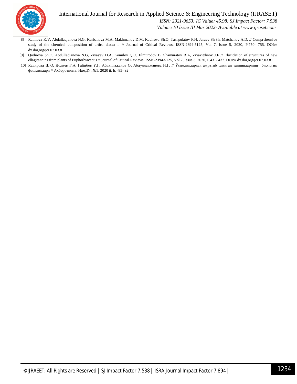

#### International Journal for Research in Applied Science & Engineering Technology (IJRASET**)**  *ISSN: 2321-9653; IC Value: 45.98; SJ Impact Factor: 7.538*

 *Volume 10 Issue III Mar 2022- Available at www.ijraset.com*

- [8] Raimova K.V, Abdulladjanova N.G, Kurbanova M.A, Makhmanov D.M, Kadirova Sh.O, Tashpulatov F.N, Juraev Sh.Sh, Matchanov A.D. // Comprehensive study of the chemical composition of urtica dioica l. // Journal of Critical Reviews. ISSN-2394-5125, Vol 7, Issue 5, 2020, P.750- 755. DOI:// dx.doi,org/jcr.07.03.81
- [9] Qodirova Sh.O, Abdulladjanova N.G, Ziyayev D.A, Komilov Q.O, Elmurodov B, Shamuratov B.A, Ziyavitdinov J.F // Elucidation of structures of new ellagitannins from plants of Euphorbiaceous // Journal of Critical Reviews. ISSN-2394-5125, Vol 7, Issue 3. 2020, P.431- 437. DOI:// dx.doi,org/jcr.07.03.81
- [10] Кадирова Ш.О, Долиев Ғ.А, Гайибов У.Г, Абдуллажанов О, Абдулладжанова Н.Г. // Ўсимликлардан ажратиб олинган таннинларнинг биологик фаолликлари // Ахборотнома. НамДУ. №1. 2020 й. Б. -85- 92